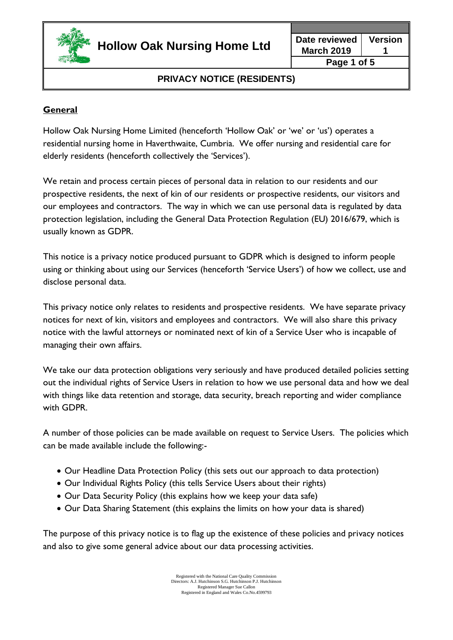

# **General**

Hollow Oak Nursing Home Limited (henceforth 'Hollow Oak' or 'we' or 'us') operates a residential nursing home in Haverthwaite, Cumbria. We offer nursing and residential care for elderly residents (henceforth collectively the 'Services').

We retain and process certain pieces of personal data in relation to our residents and our prospective residents, the next of kin of our residents or prospective residents, our visitors and our employees and contractors. The way in which we can use personal data is regulated by data protection legislation, including the General Data Protection Regulation (EU) 2016/679, which is usually known as GDPR.

This notice is a privacy notice produced pursuant to GDPR which is designed to inform people using or thinking about using our Services (henceforth 'Service Users') of how we collect, use and disclose personal data.

This privacy notice only relates to residents and prospective residents. We have separate privacy notices for next of kin, visitors and employees and contractors. We will also share this privacy notice with the lawful attorneys or nominated next of kin of a Service User who is incapable of managing their own affairs.

We take our data protection obligations very seriously and have produced detailed policies setting out the individual rights of Service Users in relation to how we use personal data and how we deal with things like data retention and storage, data security, breach reporting and wider compliance with GDPR.

A number of those policies can be made available on request to Service Users. The policies which can be made available include the following:-

- Our Headline Data Protection Policy (this sets out our approach to data protection)
- Our Individual Rights Policy (this tells Service Users about their rights)
- Our Data Security Policy (this explains how we keep your data safe)
- Our Data Sharing Statement (this explains the limits on how your data is shared)

The purpose of this privacy notice is to flag up the existence of these policies and privacy notices and also to give some general advice about our data processing activities.

> Registered with the National Care Quality Commission Directors: A.J. Hutchinson S.G. Hutchinson P.J. Hutchinson Registered Manager Sue Callon Registered in England and Wales Co.No.4599793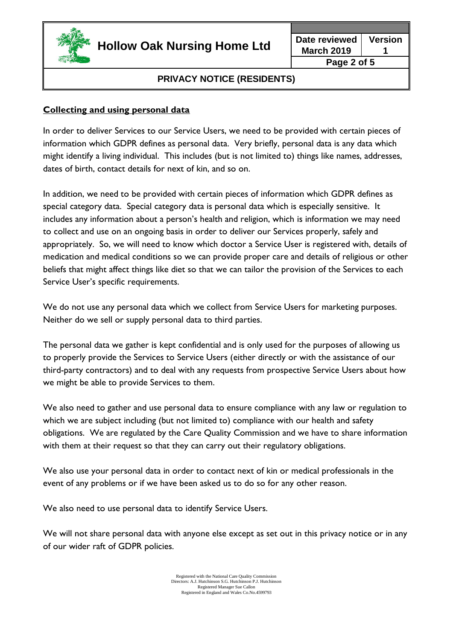

**March 2019 Version 1 Page 2 of 5**

# **PRIVACY NOTICE (RESIDENTS)**

### **Collecting and using personal data**

In order to deliver Services to our Service Users, we need to be provided with certain pieces of information which GDPR defines as personal data. Very briefly, personal data is any data which might identify a living individual. This includes (but is not limited to) things like names, addresses, dates of birth, contact details for next of kin, and so on.

In addition, we need to be provided with certain pieces of information which GDPR defines as special category data. Special category data is personal data which is especially sensitive. It includes any information about a person's health and religion, which is information we may need to collect and use on an ongoing basis in order to deliver our Services properly, safely and appropriately. So, we will need to know which doctor a Service User is registered with, details of medication and medical conditions so we can provide proper care and details of religious or other beliefs that might affect things like diet so that we can tailor the provision of the Services to each Service User's specific requirements.

We do not use any personal data which we collect from Service Users for marketing purposes. Neither do we sell or supply personal data to third parties.

The personal data we gather is kept confidential and is only used for the purposes of allowing us to properly provide the Services to Service Users (either directly or with the assistance of our third-party contractors) and to deal with any requests from prospective Service Users about how we might be able to provide Services to them.

We also need to gather and use personal data to ensure compliance with any law or regulation to which we are subject including (but not limited to) compliance with our health and safety obligations. We are regulated by the Care Quality Commission and we have to share information with them at their request so that they can carry out their regulatory obligations.

We also use your personal data in order to contact next of kin or medical professionals in the event of any problems or if we have been asked us to do so for any other reason.

We also need to use personal data to identify Service Users.

We will not share personal data with anyone else except as set out in this privacy notice or in any of our wider raft of GDPR policies.

> Registered with the National Care Quality Commission Directors: A.J. Hutchinson S.G. Hutchinson P.J. Hutchinson Registered Manager Sue Callon Registered in England and Wales Co.No.4599793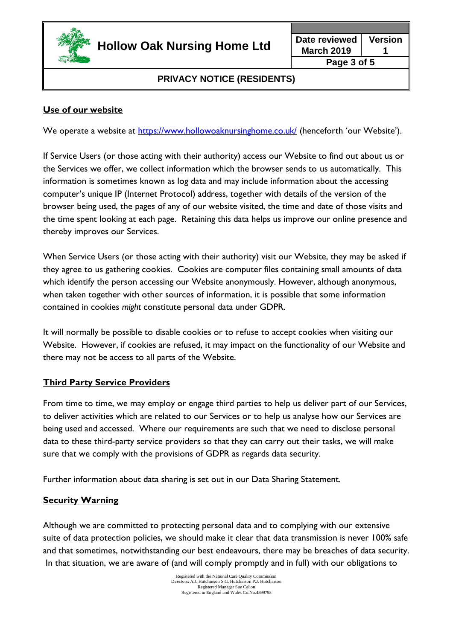

## **Use of our website**

We operate a website at<https://www.hollowoaknursinghome.co.uk/> (henceforth 'our Website').

If Service Users (or those acting with their authority) access our Website to find out about us or the Services we offer, we collect information which the browser sends to us automatically. This information is sometimes known as log data and may include information about the accessing computer's unique IP (Internet Protocol) address, together with details of the version of the browser being used, the pages of any of our website visited, the time and date of those visits and the time spent looking at each page. Retaining this data helps us improve our online presence and thereby improves our Services.

When Service Users (or those acting with their authority) visit our Website, they may be asked if they agree to us gathering cookies. Cookies are computer files containing small amounts of data which identify the person accessing our Website anonymously. However, although anonymous, when taken together with other sources of information, it is possible that some information contained in cookies *might* constitute personal data under GDPR.

It will normally be possible to disable cookies or to refuse to accept cookies when visiting our Website. However, if cookies are refused, it may impact on the functionality of our Website and there may not be access to all parts of the Website.

## **Third Party Service Providers**

From time to time, we may employ or engage third parties to help us deliver part of our Services, to deliver activities which are related to our Services or to help us analyse how our Services are being used and accessed. Where our requirements are such that we need to disclose personal data to these third-party service providers so that they can carry out their tasks, we will make sure that we comply with the provisions of GDPR as regards data security.

Further information about data sharing is set out in our Data Sharing Statement.

#### **Security Warning**

Although we are committed to protecting personal data and to complying with our extensive suite of data protection policies, we should make it clear that data transmission is never 100% safe and that sometimes, notwithstanding our best endeavours, there may be breaches of data security. In that situation, we are aware of (and will comply promptly and in full) with our obligations to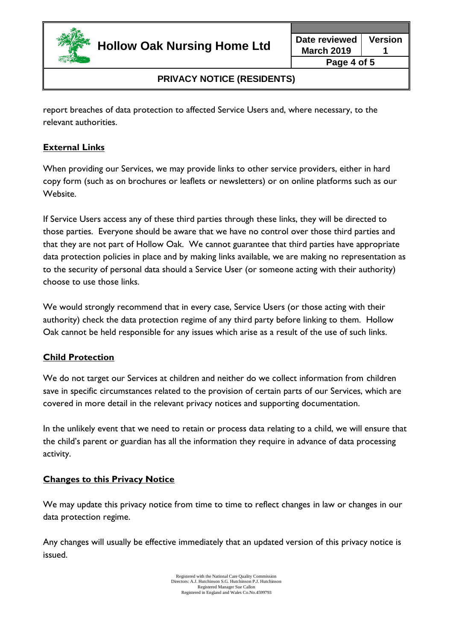

report breaches of data protection to affected Service Users and, where necessary, to the relevant authorities.

### **External Links**

When providing our Services, we may provide links to other service providers, either in hard copy form (such as on brochures or leaflets or newsletters) or on online platforms such as our Website.

If Service Users access any of these third parties through these links, they will be directed to those parties. Everyone should be aware that we have no control over those third parties and that they are not part of Hollow Oak. We cannot guarantee that third parties have appropriate data protection policies in place and by making links available, we are making no representation as to the security of personal data should a Service User (or someone acting with their authority) choose to use those links.

We would strongly recommend that in every case, Service Users (or those acting with their authority) check the data protection regime of any third party before linking to them. Hollow Oak cannot be held responsible for any issues which arise as a result of the use of such links.

#### **Child Protection**

We do not target our Services at children and neither do we collect information from children save in specific circumstances related to the provision of certain parts of our Services, which are covered in more detail in the relevant privacy notices and supporting documentation.

In the unlikely event that we need to retain or process data relating to a child, we will ensure that the child's parent or guardian has all the information they require in advance of data processing activity.

## **Changes to this Privacy Notice**

We may update this privacy notice from time to time to reflect changes in law or changes in our data protection regime.

Any changes will usually be effective immediately that an updated version of this privacy notice is issued.

> Registered with the National Care Quality Commission Directors: A.J. Hutchinson S.G. Hutchinson P.J. Hutchinson Registered Manager Sue Callon Registered in England and Wales Co.No.4599793